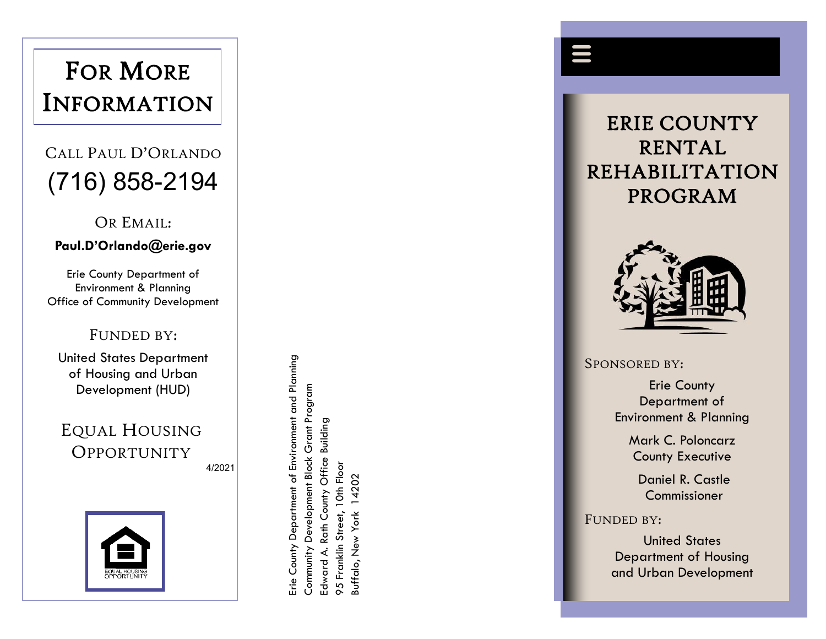# FOR MORE<br>INFORMATION

## (716) 858 -2194

OR EMAIL:

#### **Paul.D'Orlando@erie.gov**

Erie County Department of Environment & Planning Office of Community Development

#### FUNDED BY:

United States Department of Housing and Urban Development (HUD)

EQUAL HOUSING **OPPORTUNITY** 4/20 2 1



Erie County Department of Environment and Planning Erie County Department of Environment and Planning Community Development Block Grant Program Grant Program Building Edward A. Rath County Office Building Community Development Block Office 95 Franklin Street, 10th Floor 10th Floor 14202 Buffalo, New York 14202 Rath County **Suffalo, New York** 95 Franklin Street, Edward A.





SPONSORED BY :

Erie County Department of Environment & Planning

> Mark C. Poloncarz County Executive

Daniel R. Castle Commissioner

FUNDED BY :

United States Department of Housing and Urban Development